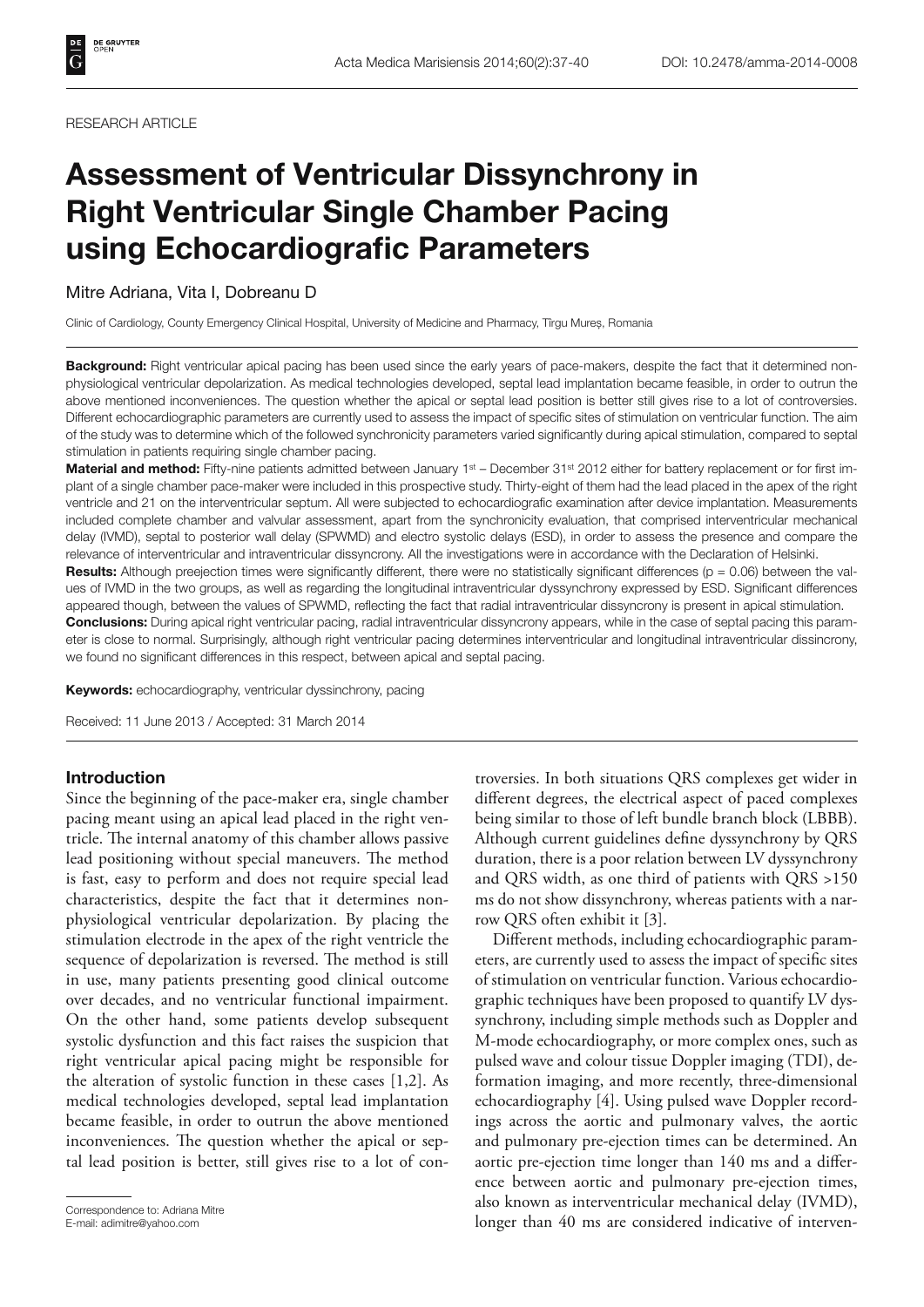# **Assessment of Ventricular Dissynchrony in Right Ventricular Single Chamber Pacing using Echocardiografic Parameters**

Mitre Adriana, Vita I, Dobreanu D

Clinic of Cardiology, County Emergency Clinical Hospital, University of Medicine and Pharmacy, Tîrgu Mureș, Romania

**Background:** Right ventricular apical pacing has been used since the early years of pace-makers, despite the fact that it determined nonphysiological ventricular depolarization. As medical technologies developed, septal lead implantation became feasible, in order to outrun the above mentioned inconveniences. The question whether the apical or septal lead position is better still gives rise to a lot of controversies. Different echocardiographic parameters are currently used to assess the impact of specific sites of stimulation on ventricular function. The aim of the study was to determine which of the followed synchronicity parameters varied significantly during apical stimulation, compared to septal stimulation in patients requiring single chamber pacing.

Material and method: Fifty-nine patients admitted between January 1<sup>st</sup> – December 31<sup>st</sup> 2012 either for battery replacement or for first implant of a single chamber pace-maker were included in this prospective study. Thirty-eight of them had the lead placed in the apex of the right ventricle and 21 on the interventricular septum. All were subjected to echocardiografic examination after device implantation. Measurements included complete chamber and valvular assessment, apart from the synchronicity evaluation, that comprised interventricular mechanical delay (IVMD), septal to posterior wall delay (SPWMD) and electro systolic delays (ESD), in order to assess the presence and compare the relevance of interventricular and intraventricular dissyncrony. All the investigations were in accordance with the Declaration of Helsinki.

**Results:** Although preejection times were significantly different, there were no statistically significant differences ( $p = 0.06$ ) between the values of IVMD in the two groups, as well as regarding the longitudinal intraventricular dyssynchrony expressed by ESD. Significant differences appeared though, between the values of SPWMD, reflecting the fact that radial intraventricular dissyncrony is present in apical stimulation.

**Conclusions:** During apical right ventricular pacing, radial intraventricular dissyncrony appears, while in the case of septal pacing this parameter is close to normal. Surprisingly, although right ventricular pacing determines interventricular and longitudinal intraventricular dissincrony, we found no significant differences in this respect, between apical and septal pacing.

**Keywords:** echocardiography, ventricular dyssinchrony, pacing

Received: 11 June 2013 / Accepted: 31 March 2014

## **Introduction**

Since the beginning of the pace-maker era, single chamber pacing meant using an apical lead placed in the right ventricle. The internal anatomy of this chamber allows passive lead positioning without special maneuvers. The method is fast, easy to perform and does not require special lead characteristics, despite the fact that it determines nonphysiological ventricular depolarization. By placing the stimulation electrode in the apex of the right ventricle the sequence of depolarization is reversed. The method is still in use, many patients presenting good clinical outcome over decades, and no ventricular functional impairment. On the other hand, some patients develop subsequent systolic dysfunction and this fact raises the suspicion that right ventricular apical pacing might be responsible for the alteration of systolic function in these cases [1,2]. As medical technologies developed, septal lead implantation became feasible, in order to outrun the above mentioned inconveniences. The question whether the apical or septal lead position is better, still gives rise to a lot of con-

E-mail: adimitre@yahoo.com

troversies. In both situations QRS complexes get wider in different degrees, the electrical aspect of paced complexes being similar to those of left bundle branch block (LBBB). Although current guidelines define dyssynchrony by QRS duration, there is a poor relation between LV dyssynchrony and QRS width, as one third of patients with QRS >150 ms do not show dissynchrony, whereas patients with a narrow QRS often exhibit it [3].

Different methods, including echocardiographic parameters, are currently used to assess the impact of specific sites of stimulation on ventricular function. Various echocardiographic techniques have been proposed to quantify LV dyssynchrony, including simple methods such as Doppler and M-mode echocardiography, or more complex ones, such as pulsed wave and colour tissue Doppler imaging (TDI), deformation imaging, and more recently, three-dimensional echocardiography [4]. Using pulsed wave Doppler recordings across the aortic and pulmonary valves, the aortic and pulmonary pre-ejection times can be determined. An aortic pre-ejection time longer than 140 ms and a difference between aortic and pulmonary pre-ejection times, also known as interventricular mechanical delay (IVMD), Correspondence to: Adriana Mitre<br>
E-mail: adimitre@yahoo.com **are considered indicative of interven-** C-mail: adimitre@yahoo.com **are considered indicative of interven-**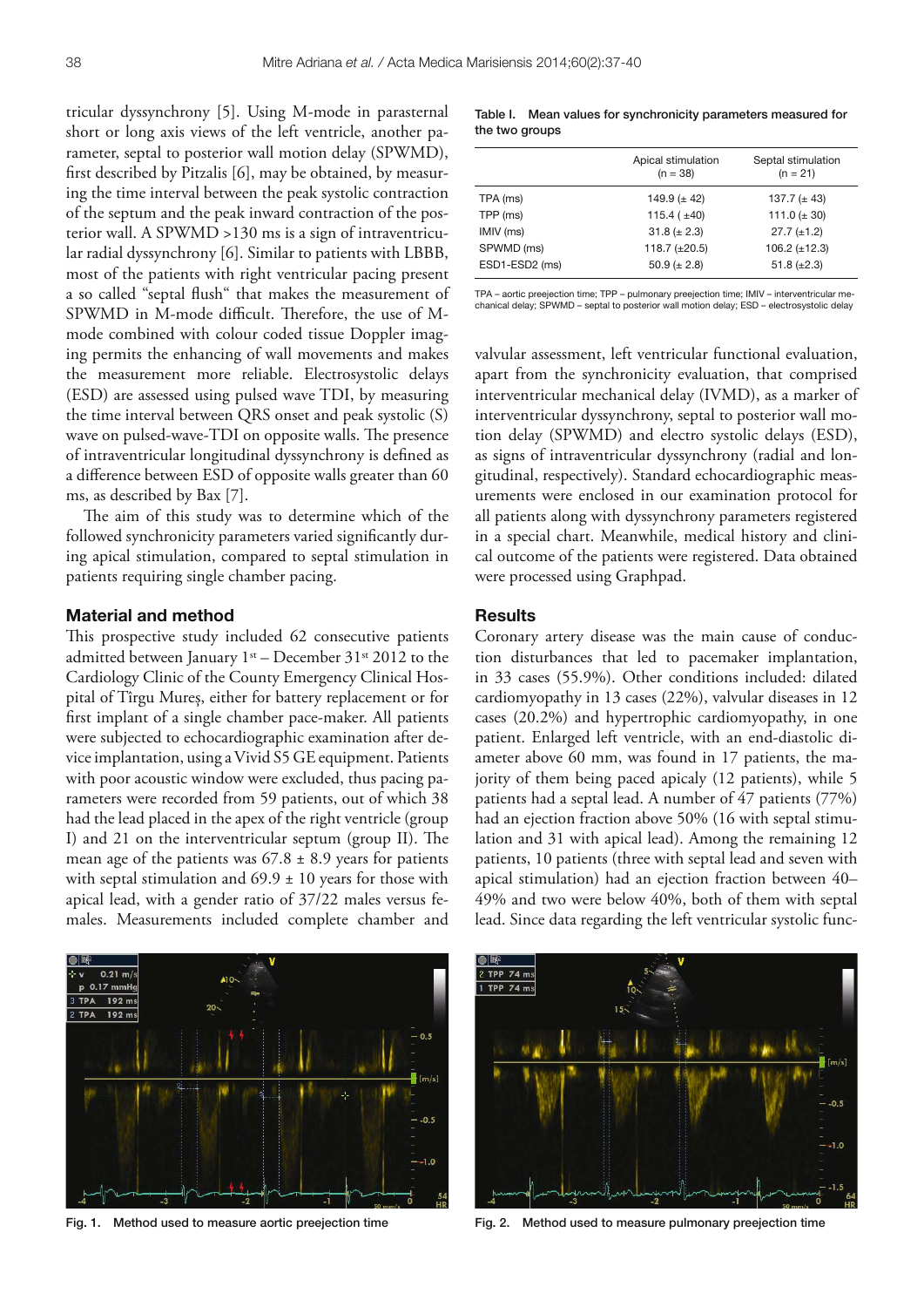tricular dyssynchrony [5]. Using M-mode in parasternal short or long axis views of the left ventricle, another parameter, septal to posterior wall motion delay (SPWMD), first described by Pitzalis [6], may be obtained, by measuring the time interval between the peak systolic contraction of the septum and the peak inward contraction of the posterior wall. A SPWMD >130 ms is a sign of intraventricular radial dyssynchrony [6]. Similar to patients with LBBB, most of the patients with right ventricular pacing present a so called "septal flush" that makes the measurement of SPWMD in M-mode difficult. Therefore, the use of Mmode combined with colour coded tissue Doppler imaging permits the enhancing of wall movements and makes the measurement more reliable. Electrosystolic delays (ESD) are assessed using pulsed wave TDI, by measuring the time interval between QRS onset and peak systolic (S) wave on pulsed-wave-TDI on opposite walls. The presence of intraventricular longitudinal dyssynchrony is defined as a difference between ESD of opposite walls greater than 60 ms, as described by Bax [7].

The aim of this study was to determine which of the followed synchronicity parameters varied significantly during apical stimulation, compared to septal stimulation in patients requiring single chamber pacing.

#### **Material and method**

This prospective study included 62 consecutive patients admitted between January 1st – December 31st 2012 to the Cardiology Clinic of the County Emergency Clinical Hospital of Tîrgu Mureș, either for battery replacement or for first implant of a single chamber pace-maker. All patients were subjected to echocardiographic examination after device implantation, using a Vivid S5 GE equipment. Patients with poor acoustic window were excluded, thus pacing parameters were recorded from 59 patients, out of which 38 had the lead placed in the apex of the right ventricle (group I) and 21 on the interventricular septum (group II). The mean age of the patients was  $67.8 \pm 8.9$  years for patients with septal stimulation and  $69.9 \pm 10$  years for those with apical lead, with a gender ratio of 37/22 males versus females. Measurements included complete chamber and



|                | Table I. Mean values for synchronicity parameters measured for |
|----------------|----------------------------------------------------------------|
| the two groups |                                                                |

|                | Apical stimulation<br>$(n = 38)$ | Septal stimulation<br>$(n = 21)$ |
|----------------|----------------------------------|----------------------------------|
| TPA (ms)       | 149.9 ( $\pm$ 42)                | 137.7 ( $\pm$ 43)                |
| TPP (ms)       | 115.4 $(\pm 40)$                 | 111.0 ( $\pm$ 30)                |
| IMIV (ms)      | $31.8 (\pm 2.3)$                 | $27.7 (\pm 1.2)$                 |
| SPWMD (ms)     | 118.7 $(\pm 20.5)$               | 106.2 $(\pm 12.3)$               |
| ESD1-ESD2 (ms) | 50.9 ( $\pm$ 2.8)                | 51.8 $(\pm 2.3)$                 |
|                |                                  |                                  |

TPA – aortic preejection time; TPP – pulmonary preejection time; IMIV – interventricular mechanical delay; SPWMD – septal to posterior wall motion delay; ESD – electrosystolic delay

valvular assessment, left ventricular functional evaluation, apart from the synchronicity evaluation, that comprised interventricular mechanical delay (IVMD), as a marker of interventricular dyssynchrony, septal to posterior wall motion delay (SPWMD) and electro systolic delays (ESD), as signs of intraventricular dyssynchrony (radial and longitudinal, respectively). Standard echocardiographic measurements were enclosed in our examination protocol for all patients along with dyssynchrony parameters registered in a special chart. Meanwhile, medical history and clinical outcome of the patients were registered. Data obtained were processed using Graphpad.

### **Results**

Coronary artery disease was the main cause of conduction disturbances that led to pacemaker implantation, in 33 cases (55.9%). Other conditions included: dilated cardiomyopathy in 13 cases (22%), valvular diseases in 12 cases (20.2%) and hypertrophic cardiomyopathy, in one patient. Enlarged left ventricle, with an end-diastolic diameter above 60 mm, was found in 17 patients, the majority of them being paced apicaly (12 patients), while 5 patients had a septal lead. A number of 47 patients (77%) had an ejection fraction above 50% (16 with septal stimulation and 31 with apical lead). Among the remaining 12 patients, 10 patients (three with septal lead and seven with apical stimulation) had an ejection fraction between 40– 49% and two were below 40%, both of them with septal lead. Since data regarding the left ventricular systolic func-



Fig. 1. Method used to measure aortic preejection time Fig. 2. Method used to measure pulmonary preejection time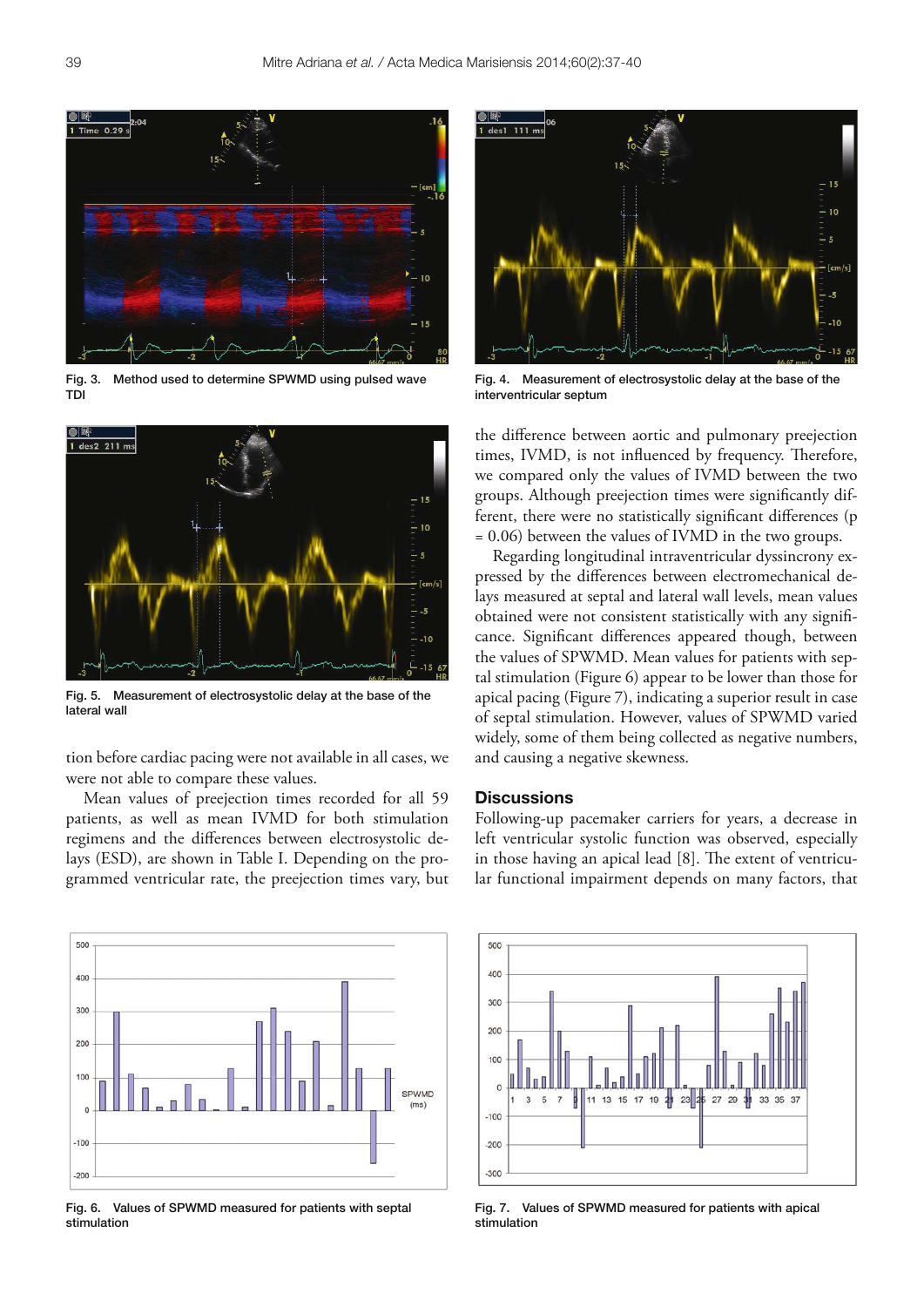

Fig. 3. Method used to determine SPWMD using pulsed wave TDI



Fig. 5. Measurement of electrosystolic delay at the base of the lateral wall

tion before cardiac pacing were not available in all cases, we were not able to compare these values.

Mean values of preejection times recorded for all 59 patients, as well as mean IVMD for both stimulation regimens and the differences between electrosystolic delays (ESD), are shown in Table I. Depending on the programmed ventricular rate, the preejection times vary, but



Fig. 6. Values of SPWMD measured for patients with septal stimulation



Fig. 4. Measurement of electrosystolic delay at the base of the interventricular septum

the difference between aortic and pulmonary preejection times, IVMD, is not influenced by frequency. Therefore, we compared only the values of IVMD between the two groups. Although preejection times were significantly different, there were no statistically significant differences (p = 0.06) between the values of IVMD in the two groups.

Regarding longitudinal intraventricular dyssincrony expressed by the differences between electromechanical delays measured at septal and lateral wall levels, mean values obtained were not consistent statistically with any significance. Significant differences appeared though, between the values of SPWMD. Mean values for patients with septal stimulation (Figure 6) appear to be lower than those for apical pacing (Figure 7), indicating a superior result in case of septal stimulation. However, values of SPWMD varied widely, some of them being collected as negative numbers, and causing a negative skewness.

#### **Discussions**

Following-up pacemaker carriers for years, a decrease in left ventricular systolic function was observed, especially in those having an apical lead [8]. The extent of ventricular functional impairment depends on many factors, that



Fig. 7. Values of SPWMD measured for patients with apical stimulation